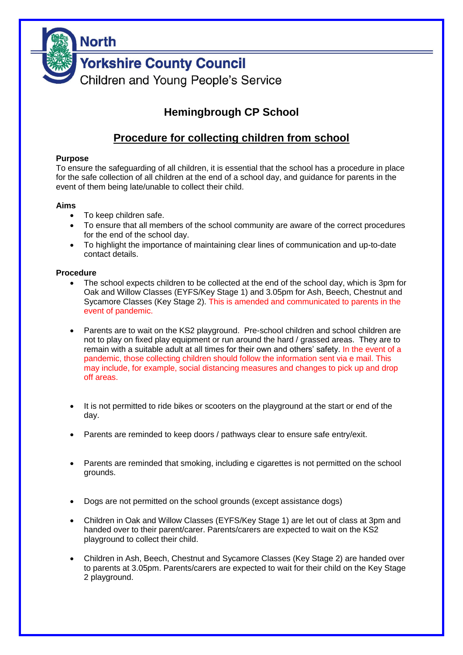

# **Hemingbrough CP School**

## **Procedure for collecting children from school**

#### **Purpose**

To ensure the safeguarding of all children, it is essential that the school has a procedure in place for the safe collection of all children at the end of a school day, and guidance for parents in the event of them being late/unable to collect their child.

#### **Aims**

- To keep children safe.
- To ensure that all members of the school community are aware of the correct procedures for the end of the school day.
- To highlight the importance of maintaining clear lines of communication and up-to-date contact details.

#### **Procedure**

- The school expects children to be collected at the end of the school day, which is 3pm for Oak and Willow Classes (EYFS/Key Stage 1) and 3.05pm for Ash, Beech, Chestnut and Sycamore Classes (Key Stage 2). This is amended and communicated to parents in the event of pandemic.
- Parents are to wait on the KS2 playground. Pre-school children and school children are not to play on fixed play equipment or run around the hard / grassed areas. They are to remain with a suitable adult at all times for their own and others' safety. In the event of a pandemic, those collecting children should follow the information sent via e mail. This may include, for example, social distancing measures and changes to pick up and drop off areas.
- It is not permitted to ride bikes or scooters on the playground at the start or end of the day.
- Parents are reminded to keep doors / pathways clear to ensure safe entry/exit.
- Parents are reminded that smoking, including e cigarettes is not permitted on the school grounds.
- Dogs are not permitted on the school grounds (except assistance dogs)
- Children in Oak and Willow Classes (EYFS/Key Stage 1) are let out of class at 3pm and handed over to their parent/carer. Parents/carers are expected to wait on the KS2 playground to collect their child.
- Children in Ash, Beech, Chestnut and Sycamore Classes (Key Stage 2) are handed over to parents at 3.05pm. Parents/carers are expected to wait for their child on the Key Stage 2 playground.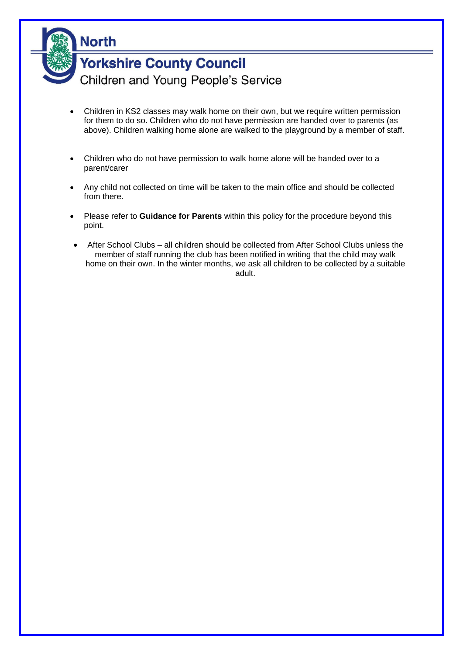

- Children in KS2 classes may walk home on their own, but we require written permission for them to do so. Children who do not have permission are handed over to parents (as above). Children walking home alone are walked to the playground by a member of staff.
- Children who do not have permission to walk home alone will be handed over to a parent/carer
- Any child not collected on time will be taken to the main office and should be collected from there.
- Please refer to **Guidance for Parents** within this policy for the procedure beyond this point.
- After School Clubs all children should be collected from After School Clubs unless the member of staff running the club has been notified in writing that the child may walk home on their own. In the winter months, we ask all children to be collected by a suitable adult.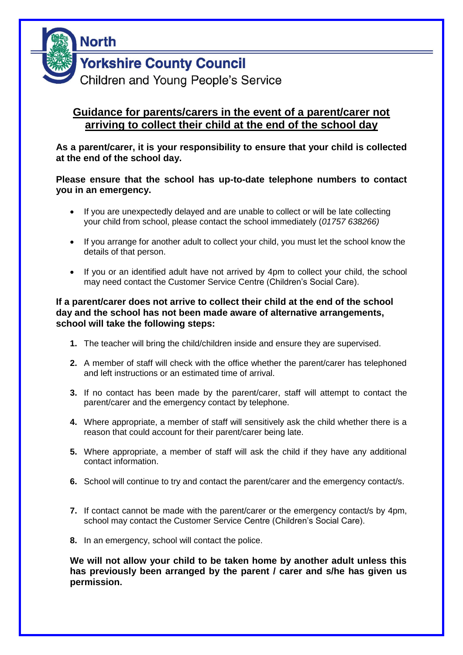

### **Guidance for parents/carers in the event of a parent/carer not arriving to collect their child at the end of the school day**

**As a parent/carer, it is your responsibility to ensure that your child is collected at the end of the school day.**

**Please ensure that the school has up-to-date telephone numbers to contact you in an emergency.** 

- If you are unexpectedly delayed and are unable to collect or will be late collecting your child from school, please contact the school immediately (*01757 638266)*
- If you arrange for another adult to collect your child, you must let the school know the details of that person.
- If you or an identified adult have not arrived by 4pm to collect your child, the school may need contact the Customer Service Centre (Children's Social Care).

### **If a parent/carer does not arrive to collect their child at the end of the school day and the school has not been made aware of alternative arrangements, school will take the following steps:**

- **1.** The teacher will bring the child/children inside and ensure they are supervised.
- **2.** A member of staff will check with the office whether the parent/carer has telephoned and left instructions or an estimated time of arrival.
- **3.** If no contact has been made by the parent/carer, staff will attempt to contact the parent/carer and the emergency contact by telephone.
- **4.** Where appropriate, a member of staff will sensitively ask the child whether there is a reason that could account for their parent/carer being late.
- **5.** Where appropriate, a member of staff will ask the child if they have any additional contact information.
- **6.** School will continue to try and contact the parent/carer and the emergency contact/s.
- **7.** If contact cannot be made with the parent/carer or the emergency contact/s by 4pm, school may contact the Customer Service Centre (Children's Social Care).
- **8.** In an emergency, school will contact the police.

**We will not allow your child to be taken home by another adult unless this has previously been arranged by the parent / carer and s/he has given us permission.**